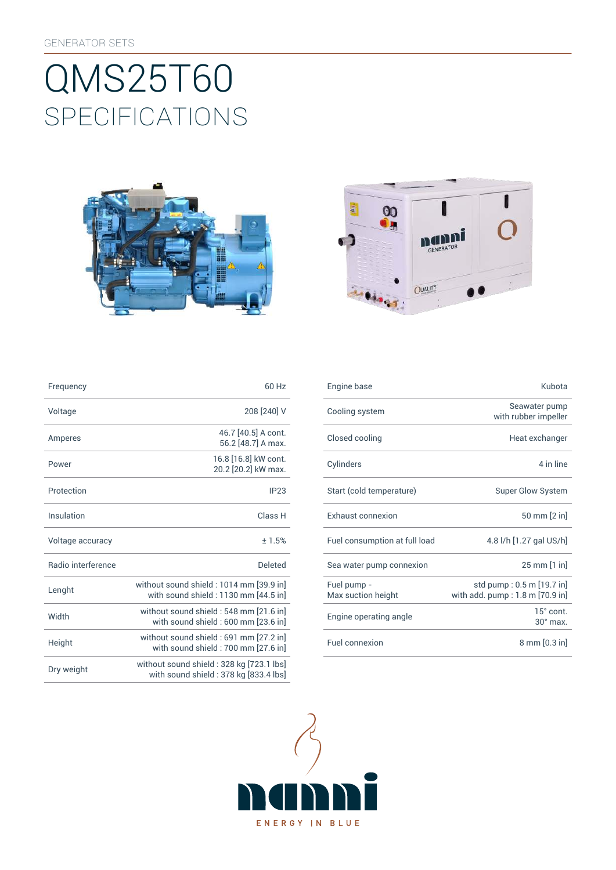# SpEcificATiONS QMS25T60





| Frequency                 | 60 Hz                                                                             |
|---------------------------|-----------------------------------------------------------------------------------|
| Voltage                   | 208 [240] V                                                                       |
| Amperes                   | 46.7 [40.5] A cont.<br>56.2 [48.7] A max.                                         |
| Power                     | 16.8 [16.8] kW cont.<br>20.2 [20.2] kW max.                                       |
| Protection                | IP23                                                                              |
| Insulation                | Class <sub>H</sub>                                                                |
| Voltage accuracy          | ±1.5%                                                                             |
| <b>Badio</b> interference | Deleted                                                                           |
| Lenght                    | without sound shield: 1014 mm [39.9 in]<br>with sound shield: 1130 mm [44.5 in]   |
| Width                     | without sound shield: 548 mm [21.6 in]<br>with sound shield: 600 mm [23.6 in]     |
| Height                    | without sound shield: 691 mm [27.2 in]<br>with sound shield: 700 mm [27.6 in]     |
| Dry weight                | without sound shield: 328 kg [723.1 lbs]<br>with sound shield: 378 kg [833.4 lbs] |

| Frequency          | 60 Hz                                                                            | Engine base                       | Kubota                                                         |
|--------------------|----------------------------------------------------------------------------------|-----------------------------------|----------------------------------------------------------------|
| Voltage            | 208 [240] V                                                                      | Cooling system                    | Seawater pump<br>with rubber impeller                          |
| Amperes            | 46.7 [40.5] A cont.<br>56.2 [48.7] A max.                                        | Closed cooling                    | Heat exchanger                                                 |
| Power              | 16.8 [16.8] kW cont.<br>20.2 [20.2] kW max.                                      | Cylinders                         | 4 in line                                                      |
| Protection         | IP23                                                                             | Start (cold temperature)          | <b>Super Glow System</b>                                       |
| Insulation         | Class H                                                                          | <b>Exhaust connexion</b>          | 50 mm [2 in]                                                   |
| Voltage accuracy   | ± 1.5%                                                                           | Fuel consumption at full load     | 4.8 l/h [1.27 gal US/h]                                        |
| Radio interference | <b>Deleted</b>                                                                   | Sea water pump connexion          | 25 mm [1 in]                                                   |
| Lenght             | without sound shield : 1014 mm [39.9 in]<br>with sound shield: 1130 mm [44.5 in] | Fuel pump -<br>Max suction height | std pump: 0.5 m [19.7 in]<br>with add. $pump: 1.8 m [70.9 in]$ |
| Width              | without sound shield: 548 mm [21.6 in]<br>with sound shield : 600 mm [23.6 in]   | Engine operating angle            | 15° cont.<br>$30^\circ$ max.                                   |
| Height             | without sound shield : 691 mm [27.2 in]<br>with sound shield: 700 mm [27.6 in]   | Fuel connexion                    | $8 \text{ mm} [0.3 \text{ in}]$                                |